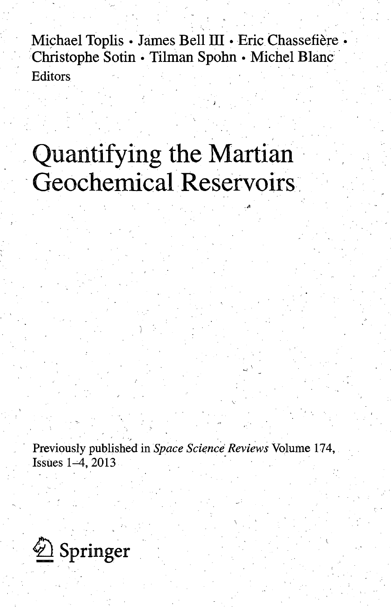Michael Toplis • James Bell III • Eric Chassefière • Christophe Sotin • Tilman Spohn • Michel Blanc Editors

# Quantifying the Martian Geochemical Reservoirs

<sup>1</sup>'

*)* 

Previously published in *Space Science Reviews* Volume 174, Issues 1-4, 2013

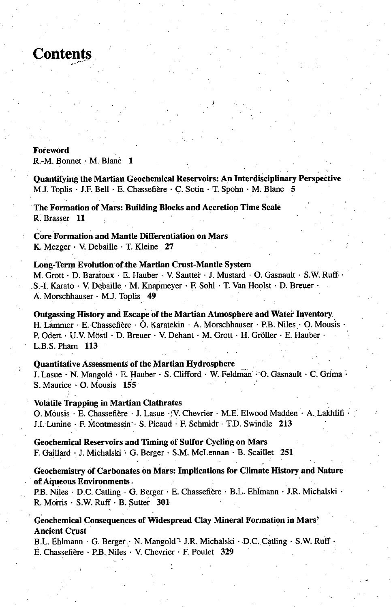# **Contents**

#### **Foreword**

R.-M. Bonnet • M. Blanc 1

**Quantifying the Martian Geochemical Reservoirs: An Interdisciplinary Perspective**  M.J. Toplis • J.F. Bell • E. Chassefière • C. Sotin • T. Spohn • M. Blanc 5

**The Formation of Mars: Building Blocks and Accretion Time Scale**  R. Brasser 11

**Core Formation and Mantle Differentiation on Mars**  K. Mezger • V. Debaille • T. Kleine 27

### **Long-Term Evolution'of the Martian Crust-Mantle System**  M. Grott • D. Baratoux • E. Hauber • V. Sautter • J. Mustard • O. Gasnault • S.W. Ruff • .S.-I. Karato • V. Detoaille • M. Knapmeyer • F. Sohl • T. Van Hoolst • D. Breuer • A. Morschhauser • M.J. Toplis 49

**Outgassing History and Escape of the Martian Atmosphere and Water Inventory.**  H. Lammer · E. Chassefière · Ö. Karatekin · A. Morschhauser · P.B. Niles · O. Mousis R Odert • U.V. Mostl • D. Breuer • V. Dehant • M. Grott • H. Groller • E. Hauber • L.B.S.Pham 113

## **Quantitative Assessments of the Martian Hydrosphere \_**

J. Lasue · N. Mangold · E. Hauber · S. Clifford · W. Feldman · O. Gasnault · C. Grima · S. Maurice • O. Mousis 155

#### **Volatile Trapping in Martian Clathrates**

O. Mousis • E. Chassefière • J. Lasue • V. Chevrier • M.E. Elwood Madden • A. Lakhlifi J.I. Lunine • F. Montmessin • S. Picaud • F. Schmidt' • T.D. Swindle 213

**Geochemical Reservoirs and Timing of Sulfur Cycling on Mars**  F. Gaillard • J. Michalski • G. Berger • S.M. McLennan • B. Scaillet 251

#### **Geochemistry of Carbonates on Mars: Implications for Climate History and Nature of Aqueous Environments**

P.B. Niles • D.C. Catling • G. Berger • E. Chassefière • B.L. Ehlmann • J.R. Michalski • R. Morris • S.W. Ruff • B. Sutter 301

### **Geochemical Consequences of Widespread Clay Mineral Formation in Mars' Ancient Crust**

B.L. Ehlmann • G. Berger • N. Mangold<sup>-1</sup> J.R. Michalski • D.C. Catling • S.W. Ruff E. Chassefière · P.B. Niles · V. Chevrier · F. Poulet 329